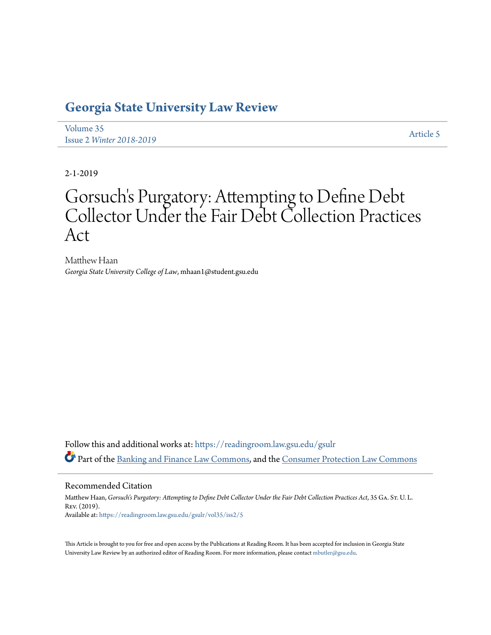## **[Georgia State University Law Review](https://readingroom.law.gsu.edu/gsulr?utm_source=readingroom.law.gsu.edu%2Fgsulr%2Fvol35%2Fiss2%2F5&utm_medium=PDF&utm_campaign=PDFCoverPages)**

[Volume 35](https://readingroom.law.gsu.edu/gsulr/vol35?utm_source=readingroom.law.gsu.edu%2Fgsulr%2Fvol35%2Fiss2%2F5&utm_medium=PDF&utm_campaign=PDFCoverPages) Issue 2 *[Winter 2018-2019](https://readingroom.law.gsu.edu/gsulr/vol35/iss2?utm_source=readingroom.law.gsu.edu%2Fgsulr%2Fvol35%2Fiss2%2F5&utm_medium=PDF&utm_campaign=PDFCoverPages)* [Article 5](https://readingroom.law.gsu.edu/gsulr/vol35/iss2/5?utm_source=readingroom.law.gsu.edu%2Fgsulr%2Fvol35%2Fiss2%2F5&utm_medium=PDF&utm_campaign=PDFCoverPages)

2-1-2019

# Gorsuch's Purgatory: Attempting to Define Debt Collector Under the Fair Debt Collection Practices Act

Matthew Haan *Georgia State University College of Law*, mhaan1@student.gsu.edu

Follow this and additional works at: [https://readingroom.law.gsu.edu/gsulr](https://readingroom.law.gsu.edu/gsulr?utm_source=readingroom.law.gsu.edu%2Fgsulr%2Fvol35%2Fiss2%2F5&utm_medium=PDF&utm_campaign=PDFCoverPages) Part of the [Banking and Finance Law Commons](http://network.bepress.com/hgg/discipline/833?utm_source=readingroom.law.gsu.edu%2Fgsulr%2Fvol35%2Fiss2%2F5&utm_medium=PDF&utm_campaign=PDFCoverPages), and the [Consumer Protection Law Commons](http://network.bepress.com/hgg/discipline/838?utm_source=readingroom.law.gsu.edu%2Fgsulr%2Fvol35%2Fiss2%2F5&utm_medium=PDF&utm_campaign=PDFCoverPages)

#### Recommended Citation

Matthew Haan, *Gorsuch's Purgatory: Attempting to Define Debt Collector Under the Fair Debt Collection Practices Act*, 35 Ga. St. U. L. Rev. (2019). Available at: [https://readingroom.law.gsu.edu/gsulr/vol35/iss2/5](https://readingroom.law.gsu.edu/gsulr/vol35/iss2/5?utm_source=readingroom.law.gsu.edu%2Fgsulr%2Fvol35%2Fiss2%2F5&utm_medium=PDF&utm_campaign=PDFCoverPages)

This Article is brought to you for free and open access by the Publications at Reading Room. It has been accepted for inclusion in Georgia State University Law Review by an authorized editor of Reading Room. For more information, please contact [mbutler@gsu.edu.](mailto:mbutler@gsu.edu)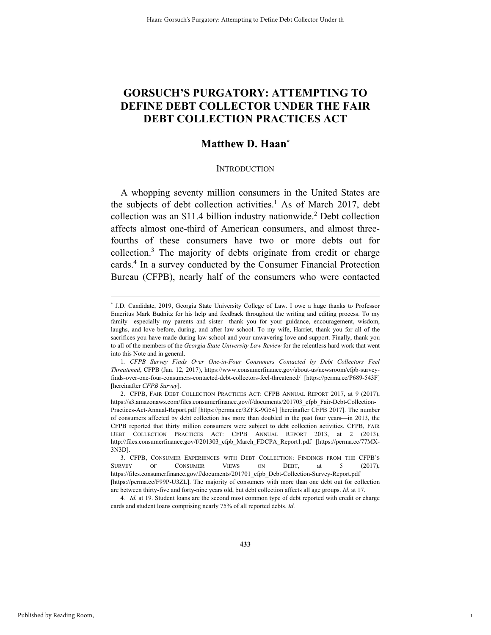### **GORSUCH'S PURGATORY: ATTEMPTING TO DEFINE DEBT COLLECTOR UNDER THE FAIR DEBT COLLECTION PRACTICES ACT**

### **Matthew D. Haan\***

#### **INTRODUCTION**

A whopping seventy million consumers in the United States are the subjects of debt collection activities.<sup>1</sup> As of March 2017, debt collection was an \$11.4 billion industry nationwide.<sup>2</sup> Debt collection affects almost one-third of American consumers, and almost threefourths of these consumers have two or more debts out for collection.<sup>3</sup> The majority of debts originate from credit or charge cards.<sup>4</sup> In a survey conducted by the Consumer Financial Protection Bureau (CFPB), nearly half of the consumers who were contacted

1

 <sup>\*</sup> \* J.D. Candidate, 2019, Georgia State University College of Law. I owe a huge thanks to Professor Emeritus Mark Budnitz for his help and feedback throughout the writing and editing process. To my family—especially my parents and sister—thank you for your guidance, encouragement, wisdom, laughs, and love before, during, and after law school. To my wife, Harriet, thank you for all of the sacrifices you have made during law school and your unwavering love and support. Finally, thank you to all of the members of the *Georgia State University Law Review* for the relentless hard work that went into this Note and in general.

<sup>1</sup>*. CFPB Survey Finds Over One-in-Four Consumers Contacted by Debt Collectors Feel Threatened*, CFPB (Jan. 12, 2017), https://www.consumerfinance.gov/about-us/newsroom/cfpb-surveyfinds-over-one-four-consumers-contacted-debt-collectors-feel-threatened/ [https://perma.cc/P689-543F] [hereinafter *CFPB Survey*].

 <sup>2.</sup> CFPB, FAIR DEBT COLLECTION PRACTICES ACT: CFPB ANNUAL REPORT 2017, at 9 (2017), https://s3.amazonaws.com/files.consumerfinance.gov/f/documents/201703\_cfpb\_Fair-Debt-Collection-Practices-Act-Annual-Report.pdf [https://perma.cc/3ZFK-9G54] [hereinafter CFPB 2017]. The number of consumers affected by debt collection has more than doubled in the past four years—in 2013, the CFPB reported that thirty million consumers were subject to debt collection activities. CFPB, FAIR DEBT COLLECTION PRACTICES ACT: CFPB ANNUAL REPORT 2013, at 2 (2013), http://files.consumerfinance.gov/f/201303\_cfpb\_March\_FDCPA\_Report1.pdf [https://perma.cc/77MX-3N3D].

 <sup>3.</sup> CFPB, CONSUMER EXPERIENCES WITH DEBT COLLECTION: FINDINGS FROM THE CFPB'S SURVEY OF CONSUMER VIEWS ON DEBT, at 5 (2017), https://files.consumerfinance.gov/f/documents/201701\_cfpb\_Debt-Collection-Survey-Report.pdf [https://perma.cc/F99P-U3ZL]. The majority of consumers with more than one debt out for collection are between thirty-five and forty-nine years old, but debt collection affects all age groups. *Id.* at 17.

<sup>4</sup>*. Id.* at 19. Student loans are the second most common type of debt reported with credit or charge cards and student loans comprising nearly 75% of all reported debts. *Id.*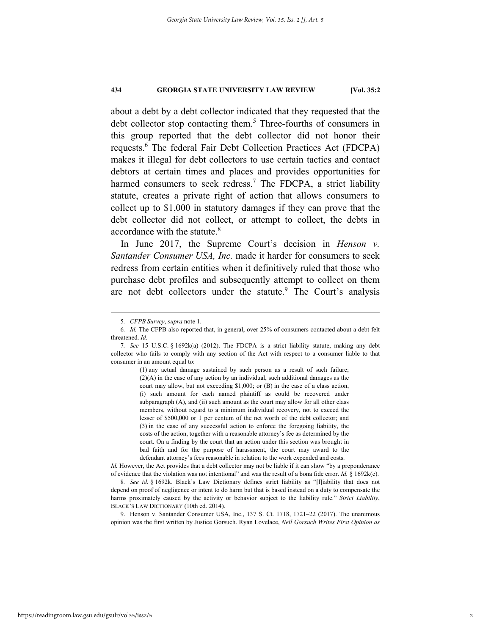about a debt by a debt collector indicated that they requested that the debt collector stop contacting them.<sup>5</sup> Three-fourths of consumers in this group reported that the debt collector did not honor their requests.<sup>6</sup> The federal Fair Debt Collection Practices Act (FDCPA) makes it illegal for debt collectors to use certain tactics and contact debtors at certain times and places and provides opportunities for harmed consumers to seek redress.<sup>7</sup> The FDCPA, a strict liability statute, creates a private right of action that allows consumers to collect up to \$1,000 in statutory damages if they can prove that the debt collector did not collect, or attempt to collect, the debts in accordance with the statute.<sup>8</sup>

In June 2017, the Supreme Court's decision in *Henson v. Santander Consumer USA, Inc.* made it harder for consumers to seek redress from certain entities when it definitively ruled that those who purchase debt profiles and subsequently attempt to collect on them are not debt collectors under the statute.<sup>9</sup> The Court's analysis

(1) any actual damage sustained by such person as a result of such failure; (2)(A) in the case of any action by an individual, such additional damages as the court may allow, but not exceeding \$1,000; or (B) in the case of a class action, (i) such amount for each named plaintiff as could be recovered under subparagraph (A), and (ii) such amount as the court may allow for all other class members, without regard to a minimum individual recovery, not to exceed the lesser of \$500,000 or 1 per centum of the net worth of the debt collector; and (3) in the case of any successful action to enforce the foregoing liability, the costs of the action, together with a reasonable attorney's fee as determined by the court. On a finding by the court that an action under this section was brought in bad faith and for the purpose of harassment, the court may award to the defendant attorney's fees reasonable in relation to the work expended and costs.

*Id.* However, the Act provides that a debt collector may not be liable if it can show "by a preponderance" of evidence that the violation was not intentional" and was the result of a bona fide error. *Id.* § 1692k(c).

8*. See id.* § 1692k. Black's Law Dictionary defines strict liability as "[l]iability that does not depend on proof of negligence or intent to do harm but that is based instead on a duty to compensate the harms proximately caused by the activity or behavior subject to the liability rule." *Strict Liability*, BLACK'S LAW DICTIONARY (10th ed. 2014).

 9. Henson v. Santander Consumer USA, Inc., 137 S. Ct. 1718, 1721–22 (2017). The unanimous opinion was the first written by Justice Gorsuch. Ryan Lovelace, *Neil Gorsuch Writes First Opinion as* 

 <sup>5</sup>*. CFPB Survey*, *supra* note 1.

<sup>6</sup>*. Id.* The CFPB also reported that, in general, over 25% of consumers contacted about a debt felt threatened. *Id.* 

<sup>7</sup>*. See* 15 U.S.C. § 1692k(a) (2012). The FDCPA is a strict liability statute, making any debt collector who fails to comply with any section of the Act with respect to a consumer liable to that consumer in an amount equal to: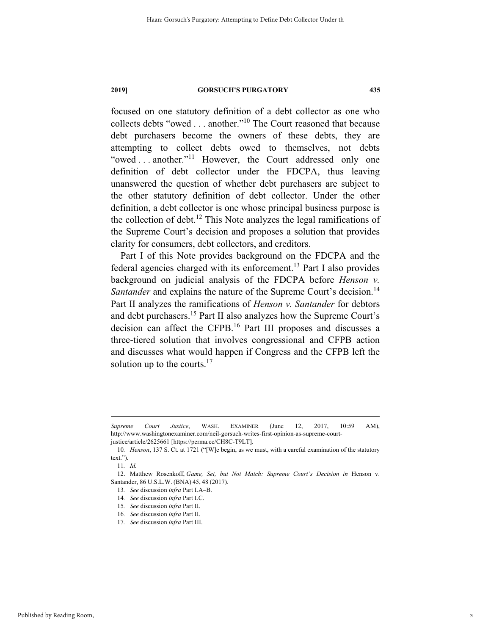focused on one statutory definition of a debt collector as one who collects debts "owed . . . another."10 The Court reasoned that because debt purchasers become the owners of these debts, they are attempting to collect debts owed to themselves, not debts "owed ... another."<sup>11</sup> However, the Court addressed only one definition of debt collector under the FDCPA, thus leaving unanswered the question of whether debt purchasers are subject to the other statutory definition of debt collector. Under the other definition, a debt collector is one whose principal business purpose is the collection of debt.<sup>12</sup> This Note analyzes the legal ramifications of the Supreme Court's decision and proposes a solution that provides clarity for consumers, debt collectors, and creditors.

Part I of this Note provides background on the FDCPA and the federal agencies charged with its enforcement.<sup>13</sup> Part I also provides background on judicial analysis of the FDCPA before *Henson v. Santander* and explains the nature of the Supreme Court's decision.<sup>14</sup> Part II analyzes the ramifications of *Henson v. Santander* for debtors and debt purchasers.15 Part II also analyzes how the Supreme Court's decision can affect the CFPB.16 Part III proposes and discusses a three-tiered solution that involves congressional and CFPB action and discusses what would happen if Congress and the CFPB left the solution up to the courts. $17$ 

1

*Supreme Court Justice*, WASH. EXAMINER (June 12, 2017, 10:59 AM), http://www.washingtonexaminer.com/neil-gorsuch-writes-first-opinion-as-supreme-courtjustice/article/2625661 [https://perma.cc/CH8C-T9LT].

<sup>10</sup>*. Henson*, 137 S. Ct. at 1721 ("[W]e begin, as we must, with a careful examination of the statutory text.").

<sup>11</sup>*. Id.*

<sup>12.</sup> Matthew Rosenkoff, *Game, Set, but Not Match: Supreme Court's Decision in* Henson v. Santander, 86 U.S.L.W. (BNA) 45, 48 (2017).

<sup>13</sup>*. See* discussion *infra* Part I.A–B.

<sup>14</sup>*. See* discussion *infra* Part I.C.

<sup>15</sup>*. See* discussion *infra* Part II.

<sup>16</sup>*. See* discussion *infra* Part II.

<sup>17</sup>*. See* discussion *infra* Part III.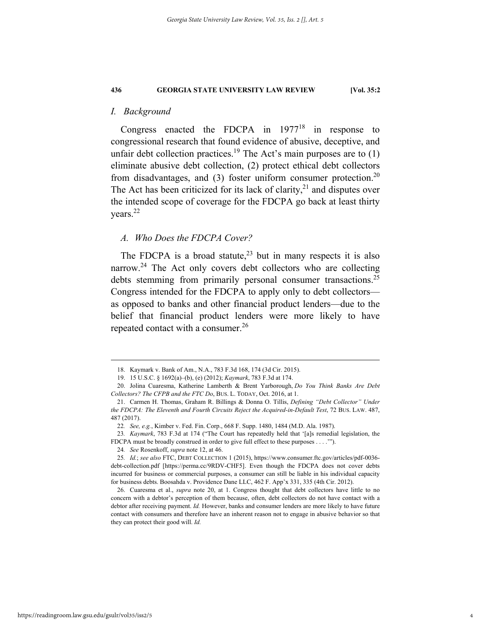#### *I. Background*

Congress enacted the FDCPA in  $1977^{18}$  in response to congressional research that found evidence of abusive, deceptive, and unfair debt collection practices.<sup>19</sup> The Act's main purposes are to  $(1)$ eliminate abusive debt collection, (2) protect ethical debt collectors from disadvantages, and  $(3)$  foster uniform consumer protection.<sup>20</sup> The Act has been criticized for its lack of clarity, $2<sup>1</sup>$  and disputes over the intended scope of coverage for the FDCPA go back at least thirty years.<sup>22</sup>

#### *A. Who Does the FDCPA Cover?*

The FDCPA is a broad statute,  $2<sup>3</sup>$  but in many respects it is also narrow.<sup>24</sup> The Act only covers debt collectors who are collecting debts stemming from primarily personal consumer transactions.<sup>25</sup> Congress intended for the FDCPA to apply only to debt collectors as opposed to banks and other financial product lenders—due to the belief that financial product lenders were more likely to have repeated contact with a consumer.<sup>26</sup>

 <sup>18.</sup> Kaymark v. Bank of Am., N.A., 783 F.3d 168, 174 (3d Cir. 2015).

 <sup>19. 15</sup> U.S.C. § 1692(a)–(b), (e) (2012); *Kaymark*, 783 F.3d at 174.

 <sup>20.</sup> Jolina Cuaresma, Katherine Lamberth & Brent Yarborough, *Do You Think Banks Are Debt Collectors? The CFPB and the FTC Do*, BUS. L. TODAY, Oct. 2016, at 1.

 <sup>21.</sup> Carmen H. Thomas, Graham R. Billings & Donna O. Tillis, *Defining "Debt Collector" Under the FDCPA: The Eleventh and Fourth Circuits Reject the Acquired-in-Default Test*, 72 BUS. LAW. 487, 487 (2017).

<sup>22</sup>*. See, e.g.*, Kimber v. Fed. Fin. Corp., 668 F. Supp. 1480, 1484 (M.D. Ala. 1987).

<sup>23</sup>*. Kaymark*, 783 F.3d at 174 ("The Court has repeatedly held that '[a]s remedial legislation, the FDCPA must be broadly construed in order to give full effect to these purposes . . . .'").

<sup>24</sup>*. See* Rosenkoff, *supra* note 12, at 46.

<sup>25</sup>*. Id.*; *see also* FTC, DEBT COLLECTION 1 (2015), https://www.consumer.ftc.gov/articles/pdf-0036 debt-collection.pdf [https://perma.cc/9RDV-CHF5]. Even though the FDCPA does not cover debts incurred for business or commercial purposes, a consumer can still be liable in his individual capacity for business debts. Boosahda v. Providence Dane LLC, 462 F. App'x 331, 335 (4th Cir. 2012).

 <sup>26.</sup> Cuaresma et al., *supra* note 20, at 1. Congress thought that debt collectors have little to no concern with a debtor's perception of them because, often, debt collectors do not have contact with a debtor after receiving payment. *Id.* However, banks and consumer lenders are more likely to have future contact with consumers and therefore have an inherent reason not to engage in abusive behavior so that they can protect their good will. *Id.*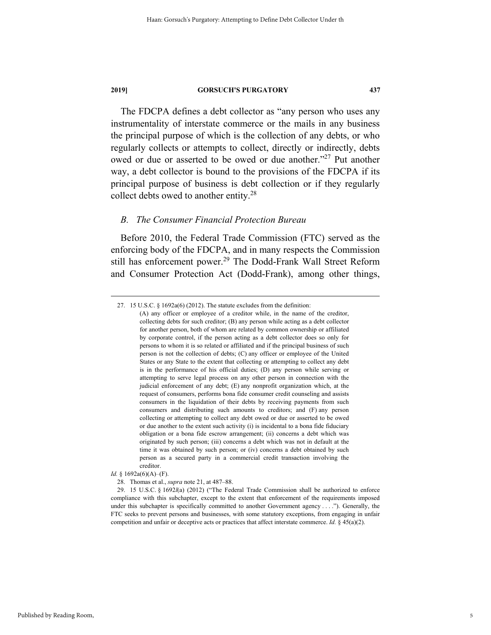The FDCPA defines a debt collector as "any person who uses any instrumentality of interstate commerce or the mails in any business the principal purpose of which is the collection of any debts, or who regularly collects or attempts to collect, directly or indirectly, debts owed or due or asserted to be owed or due another."27 Put another way, a debt collector is bound to the provisions of the FDCPA if its principal purpose of business is debt collection or if they regularly collect debts owed to another entity.28

#### *B. The Consumer Financial Protection Bureau*

Before 2010, the Federal Trade Commission (FTC) served as the enforcing body of the FDCPA, and in many respects the Commission still has enforcement power.<sup>29</sup> The Dodd-Frank Wall Street Reform and Consumer Protection Act (Dodd-Frank), among other things,

 <sup>27. 15</sup> U.S.C. § 1692a(6) (2012). The statute excludes from the definition:

<sup>(</sup>A) any officer or employee of a creditor while, in the name of the creditor, collecting debts for such creditor; (B) any person while acting as a debt collector for another person, both of whom are related by common ownership or affiliated by corporate control, if the person acting as a debt collector does so only for persons to whom it is so related or affiliated and if the principal business of such person is not the collection of debts; (C) any officer or employee of the United States or any State to the extent that collecting or attempting to collect any debt is in the performance of his official duties; (D) any person while serving or attempting to serve legal process on any other person in connection with the judicial enforcement of any debt; (E) any nonprofit organization which, at the request of consumers, performs bona fide consumer credit counseling and assists consumers in the liquidation of their debts by receiving payments from such consumers and distributing such amounts to creditors; and (F) any person collecting or attempting to collect any debt owed or due or asserted to be owed or due another to the extent such activity (i) is incidental to a bona fide fiduciary obligation or a bona fide escrow arrangement; (ii) concerns a debt which was originated by such person; (iii) concerns a debt which was not in default at the time it was obtained by such person; or (iv) concerns a debt obtained by such person as a secured party in a commercial credit transaction involving the creditor.

*Id.* § 1692a(6)(A)–(F).

 <sup>28.</sup> Thomas et al., *supra* note 21, at 487–88.

 <sup>29. 15</sup> U.S.C. § 1692*l*(a) (2012) ("The Federal Trade Commission shall be authorized to enforce compliance with this subchapter, except to the extent that enforcement of the requirements imposed under this subchapter is specifically committed to another Government agency . . . ."). Generally, the FTC seeks to prevent persons and businesses, with some statutory exceptions, from engaging in unfair competition and unfair or deceptive acts or practices that affect interstate commerce. *Id.* § 45(a)(2).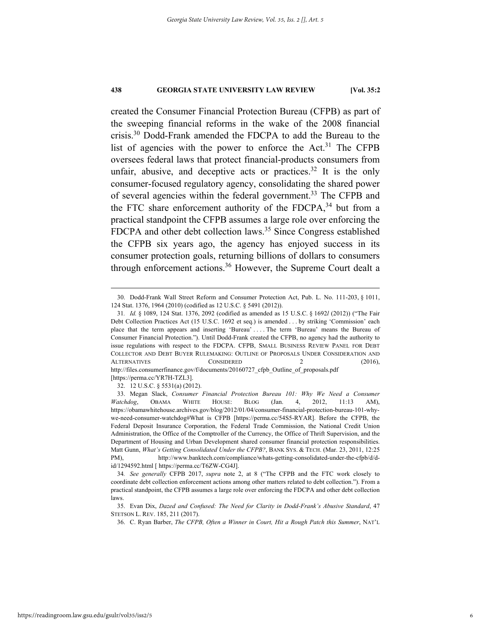created the Consumer Financial Protection Bureau (CFPB) as part of the sweeping financial reforms in the wake of the 2008 financial crisis.<sup>30</sup> Dodd-Frank amended the FDCPA to add the Bureau to the list of agencies with the power to enforce the  $Act.^31$  The CFPB oversees federal laws that protect financial-products consumers from unfair, abusive, and deceptive acts or practices.<sup>32</sup> It is the only consumer-focused regulatory agency, consolidating the shared power of several agencies within the federal government.<sup>33</sup> The CFPB and the FTC share enforcement authority of the FDCPA, $34$  but from a practical standpoint the CFPB assumes a large role over enforcing the FDCPA and other debt collection laws.<sup>35</sup> Since Congress established the CFPB six years ago, the agency has enjoyed success in its consumer protection goals, returning billions of dollars to consumers through enforcement actions.<sup>36</sup> However, the Supreme Court dealt a

 <sup>30.</sup> Dodd-Frank Wall Street Reform and Consumer Protection Act, Pub. L. No. 111-203, § 1011, 124 Stat. 1376, 1964 (2010) (codified as 12 U.S.C. § 5491 (2012)).

<sup>31</sup>*. Id.* § 1089, 124 Stat. 1376, 2092 (codified as amended as 15 U.S.C. § 1692*l* (2012)) ("The Fair Debt Collection Practices Act (15 U.S.C. 1692 et seq.) is amended . . . by striking 'Commission' each place that the term appears and inserting 'Bureau' . . . . The term 'Bureau' means the Bureau of Consumer Financial Protection."). Until Dodd-Frank created the CFPB, no agency had the authority to issue regulations with respect to the FDCPA. CFPB, SMALL BUSINESS REVIEW PANEL FOR DEBT COLLECTOR AND DEBT BUYER RULEMAKING: OUTLINE OF PROPOSALS UNDER CONSIDERATION AND ALTERNATIVES CONSIDERED 2 (2016), http://files.consumerfinance.gov/f/documents/20160727\_cfpb\_Outline\_of\_proposals.pdf [https://perma.cc/YR7H-TZL3].

 <sup>32. 12</sup> U.S.C. § 5531(a) (2012).

 <sup>33.</sup> Megan Slack, *Consumer Financial Protection Bureau 101: Why We Need a Consumer Watchdog*, OBAMA WHITE HOUSE: BLOG (Jan. 4, 2012, 11:13 AM), https://obamawhitehouse.archives.gov/blog/2012/01/04/consumer-financial-protection-bureau-101-whywe-need-consumer-watchdog#What is CFPB [https://perma.cc/54S5-RYAR]. Before the CFPB, the Federal Deposit Insurance Corporation, the Federal Trade Commission, the National Credit Union Administration, the Office of the Comptroller of the Currency, the Office of Thrift Supervision, and the Department of Housing and Urban Development shared consumer financial protection responsibilities. Matt Gunn, *What's Getting Consolidated Under the CFPB?*, BANK SYS. & TECH. (Mar. 23, 2011, 12:25 PM), http://www.banktech.com/compliance/whats-getting-consolidated-under-the-cfpb/d/did/1294592.html [ https://perma.cc/T6ZW-CG4J].

<sup>34</sup>*. See generally* CFPB 2017, *supra* note 2, at 8 ("The CFPB and the FTC work closely to coordinate debt collection enforcement actions among other matters related to debt collection."). From a practical standpoint, the CFPB assumes a large role over enforcing the FDCPA and other debt collection laws.

 <sup>35.</sup> Evan Dix, *Dazed and Confused: The Need for Clarity in Dodd-Frank's Abusive Standard*, 47 STETSON L. REV. 185, 211 (2017).

 <sup>36.</sup> C. Ryan Barber, *The CFPB, Often a Winner in Court, Hit a Rough Patch this Summer*, NAT'L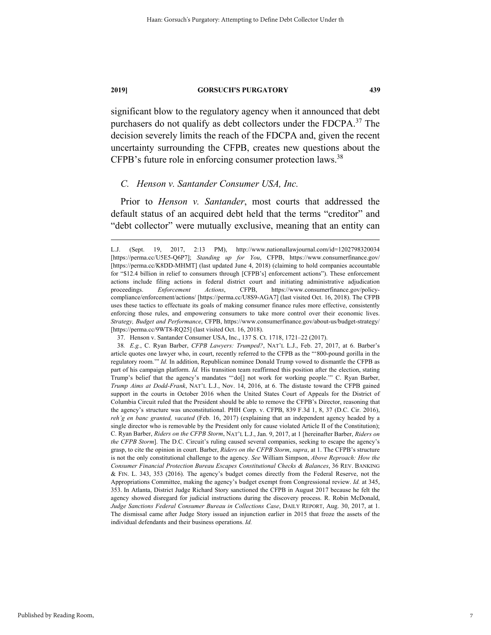significant blow to the regulatory agency when it announced that debt purchasers do not qualify as debt collectors under the FDCPA.<sup>37</sup> The decision severely limits the reach of the FDCPA and, given the recent uncertainty surrounding the CFPB, creates new questions about the CFPB's future role in enforcing consumer protection laws.<sup>38</sup>

#### *C. Henson v. Santander Consumer USA, Inc.*

Prior to *Henson v. Santander*, most courts that addressed the default status of an acquired debt held that the terms "creditor" and "debt collector" were mutually exclusive, meaning that an entity can

L.J. (Sept. 19, 2017, 2:13 PM), http://www.nationallawjournal.com/id=1202798320034 [https://perma.cc/U5E5-Q6P7]; *Standing up for You*, CFPB, https://www.consumerfinance.gov/ [https://perma.cc/K8DD-MHMT] (last updated June 4, 2018) (claiming to hold companies accountable for "\$12.4 billion in relief to consumers through [CFPB's] enforcement actions"). These enforcement actions include filing actions in federal district court and initiating administrative adjudication proceedings. *Enforcement Actions*, CFPB, https://www.consumerfinance.gov/policycompliance/enforcement/actions/ [https://perma.cc/U8S9-AGA7] (last visited Oct. 16, 2018). The CFPB uses these tactics to effectuate its goals of making consumer finance rules more effective, consistently enforcing those rules, and empowering consumers to take more control over their economic lives. *Strategy, Budget and Performance*, CFPB, https://www.consumerfinance.gov/about-us/budget-strategy/ [https://perma.cc/9WT8-RQ25] (last visited Oct. 16, 2018).

 <sup>37.</sup> Henson v. Santander Consumer USA, Inc., 137 S. Ct. 1718, 1721–22 (2017).

<sup>38</sup>*. E.g.*, C. Ryan Barber, *CFPB Lawyers: Trumped?*, NAT'L L.J., Feb. 27, 2017, at 6. Barber's article quotes one lawyer who, in court, recently referred to the CFPB as the "'800-pound gorilla in the regulatory room.'" *Id.* In addition, Republican nominee Donald Trump vowed to dismantle the CFPB as part of his campaign platform. *Id.* His transition team reaffirmed this position after the election, stating Trump's belief that the agency's mandates "'do[] not work for working people.'" C. Ryan Barber, *Trump Aims at Dodd-Frank*, NAT'L L.J., Nov. 14, 2016, at 6. The distaste toward the CFPB gained support in the courts in October 2016 when the United States Court of Appeals for the District of Columbia Circuit ruled that the President should be able to remove the CFPB's Director, reasoning that the agency's structure was unconstitutional. PHH Corp. v. CFPB, 839 F.3d 1, 8, 37 (D.C. Cir. 2016), *reh'g en banc granted, vacated* (Feb. 16, 2017) (explaining that an independent agency headed by a single director who is removable by the President only for cause violated Article II of the Constitution); C. Ryan Barber, *Riders on the CFPB Storm*, NAT'L L.J., Jan. 9, 2017, at 1 [hereinafter Barber, *Riders on the CFPB Storm*]. The D.C. Circuit's ruling caused several companies, seeking to escape the agency's grasp, to cite the opinion in court. Barber, *Riders on the CFPB Storm*, *supra*, at 1. The CFPB's structure is not the only constitutional challenge to the agency. *See* William Simpson, *Above Reproach: How the Consumer Financial Protection Bureau Escapes Constitutional Checks & Balances*, 36 REV. BANKING & FIN. L. 343, 353 (2016). The agency's budget comes directly from the Federal Reserve, not the Appropriations Committee, making the agency's budget exempt from Congressional review. *Id.* at 345, 353. In Atlanta, District Judge Richard Story sanctioned the CFPB in August 2017 because he felt the agency showed disregard for judicial instructions during the discovery process. R. Robin McDonald, *Judge Sanctions Federal Consumer Bureau in Collections Case*, DAILY REPORT, Aug. 30, 2017, at 1. The dismissal came after Judge Story issued an injunction earlier in 2015 that froze the assets of the individual defendants and their business operations. *Id.*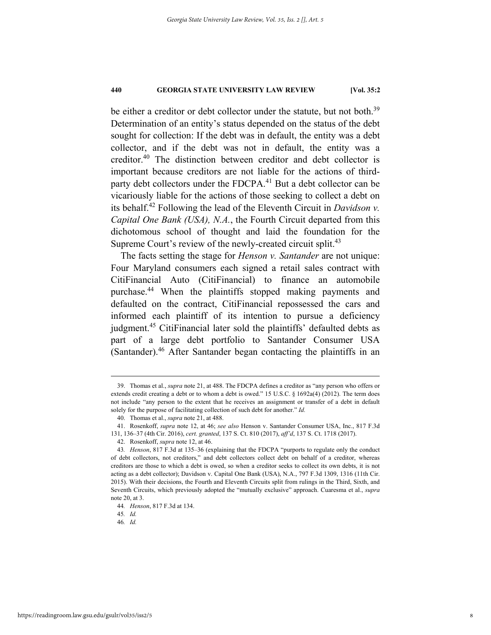be either a creditor or debt collector under the statute, but not both.<sup>39</sup> Determination of an entity's status depended on the status of the debt sought for collection: If the debt was in default, the entity was a debt collector, and if the debt was not in default, the entity was a creditor.40 The distinction between creditor and debt collector is important because creditors are not liable for the actions of thirdparty debt collectors under the FDCPA.<sup>41</sup> But a debt collector can be vicariously liable for the actions of those seeking to collect a debt on its behalf.42 Following the lead of the Eleventh Circuit in *Davidson v. Capital One Bank (USA), N.A.*, the Fourth Circuit departed from this dichotomous school of thought and laid the foundation for the Supreme Court's review of the newly-created circuit split.<sup>43</sup>

The facts setting the stage for *Henson v. Santander* are not unique: Four Maryland consumers each signed a retail sales contract with CitiFinancial Auto (CitiFinancial) to finance an automobile purchase.44 When the plaintiffs stopped making payments and defaulted on the contract, CitiFinancial repossessed the cars and informed each plaintiff of its intention to pursue a deficiency judgment.<sup>45</sup> CitiFinancial later sold the plaintiffs' defaulted debts as part of a large debt portfolio to Santander Consumer USA (Santander).46 After Santander began contacting the plaintiffs in an

45*. Id.* 

 <sup>39.</sup> Thomas et al., *supra* note 21, at 488. The FDCPA defines a creditor as "any person who offers or extends credit creating a debt or to whom a debt is owed." 15 U.S.C. § 1692a(4) (2012). The term does not include "any person to the extent that he receives an assignment or transfer of a debt in default solely for the purpose of facilitating collection of such debt for another." *Id.*

 <sup>40.</sup> Thomas et al., *supra* note 21, at 488.

 <sup>41.</sup> Rosenkoff, *supra* note 12, at 46; *see also* Henson v. Santander Consumer USA, Inc., 817 F.3d 131, 136–37 (4th Cir. 2016), *cert. granted*, 137 S. Ct. 810 (2017), *aff'd*, 137 S. Ct. 1718 (2017).

 <sup>42.</sup> Rosenkoff, *supra* note 12, at 46.

<sup>43</sup>*. Henson*, 817 F.3d at 135–36 (explaining that the FDCPA "purports to regulate only the conduct of debt collectors, not creditors," and debt collectors collect debt on behalf of a creditor, whereas creditors are those to which a debt is owed, so when a creditor seeks to collect its own debts, it is not acting as a debt collector); Davidson v. Capital One Bank (USA), N.A., 797 F.3d 1309, 1316 (11th Cir. 2015). With their decisions, the Fourth and Eleventh Circuits split from rulings in the Third, Sixth, and Seventh Circuits, which previously adopted the "mutually exclusive" approach. Cuaresma et al., *supra*  note 20, at 3.

<sup>44</sup>*. Henson*, 817 F.3d at 134.

<sup>46</sup>*. Id.*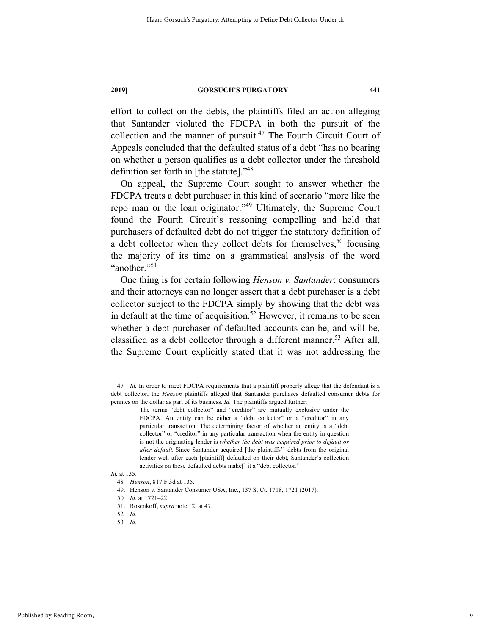effort to collect on the debts, the plaintiffs filed an action alleging that Santander violated the FDCPA in both the pursuit of the collection and the manner of pursuit.<sup>47</sup> The Fourth Circuit Court of Appeals concluded that the defaulted status of a debt "has no bearing on whether a person qualifies as a debt collector under the threshold definition set forth in [the statute]."48

On appeal, the Supreme Court sought to answer whether the FDCPA treats a debt purchaser in this kind of scenario "more like the repo man or the loan originator."49 Ultimately, the Supreme Court found the Fourth Circuit's reasoning compelling and held that purchasers of defaulted debt do not trigger the statutory definition of a debt collector when they collect debts for themselves,<sup>50</sup> focusing the majority of its time on a grammatical analysis of the word "another."<sup>51</sup>

One thing is for certain following *Henson v. Santander*: consumers and their attorneys can no longer assert that a debt purchaser is a debt collector subject to the FDCPA simply by showing that the debt was in default at the time of acquisition.<sup>52</sup> However, it remains to be seen whether a debt purchaser of defaulted accounts can be, and will be, classified as a debt collector through a different manner.<sup>53</sup> After all, the Supreme Court explicitly stated that it was not addressing the

#### *Id.* at 135.

 <sup>47</sup>*. Id.* In order to meet FDCPA requirements that a plaintiff properly allege that the defendant is a debt collector, the *Henson* plaintiffs alleged that Santander purchases defaulted consumer debts for pennies on the dollar as part of its business. *Id.* The plaintiffs argued further:

The terms "debt collector" and "creditor" are mutually exclusive under the FDCPA. An entity can be either a "debt collector" or a "creditor" in any particular transaction. The determining factor of whether an entity is a "debt collector" or "creditor" in any particular transaction when the entity in question is not the originating lender is *whether the debt was acquired prior to default or after default.* Since Santander acquired [the plaintiffs'] debts from the original lender well after each [plaintiff] defaulted on their debt, Santander's collection activities on these defaulted debts make[] it a "debt collector."

<sup>48</sup>*. Henson*, 817 F.3d at 135.

 <sup>49.</sup> Henson v. Santander Consumer USA, Inc., 137 S. Ct. 1718, 1721 (2017).

<sup>50</sup>*. Id.* at 1721–22.

 <sup>51.</sup> Rosenkoff, *supra* note 12, at 47.

<sup>52</sup>*. Id.* 53*. Id.*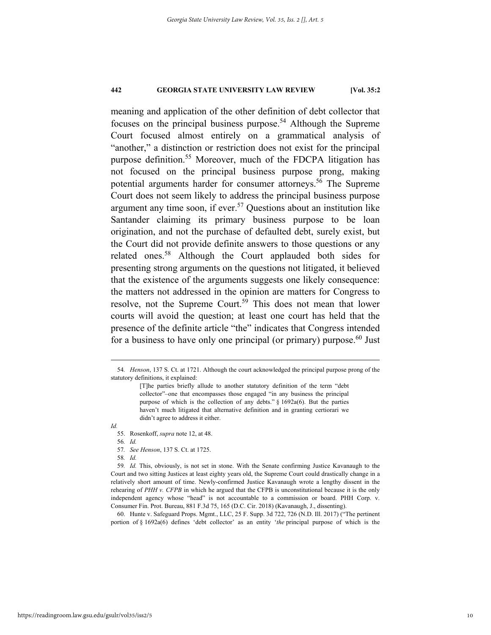meaning and application of the other definition of debt collector that focuses on the principal business purpose.<sup>54</sup> Although the Supreme Court focused almost entirely on a grammatical analysis of "another," a distinction or restriction does not exist for the principal purpose definition.<sup>55</sup> Moreover, much of the FDCPA litigation has not focused on the principal business purpose prong, making potential arguments harder for consumer attorneys.<sup>56</sup> The Supreme Court does not seem likely to address the principal business purpose argument any time soon, if ever.<sup>57</sup> Questions about an institution like Santander claiming its primary business purpose to be loan origination, and not the purchase of defaulted debt, surely exist, but the Court did not provide definite answers to those questions or any related ones.58 Although the Court applauded both sides for presenting strong arguments on the questions not litigated, it believed that the existence of the arguments suggests one likely consequence: the matters not addressed in the opinion are matters for Congress to resolve, not the Supreme Court.<sup>59</sup> This does not mean that lower courts will avoid the question; at least one court has held that the presence of the definite article "the" indicates that Congress intended for a business to have only one principal (or primary) purpose.<sup>60</sup> Just

56*. Id.*

*Id.* 

58*. Id.* 

59*. Id.* This, obviously, is not set in stone. With the Senate confirming Justice Kavanaugh to the Court and two sitting Justices at least eighty years old, the Supreme Court could drastically change in a relatively short amount of time. Newly-confirmed Justice Kavanaugh wrote a lengthy dissent in the rehearing of *PHH v. CFPB* in which he argued that the CFPB is unconstitutional because it is the only independent agency whose "head" is not accountable to a commission or board. PHH Corp. v. Consumer Fin. Prot. Bureau, 881 F.3d 75, 165 (D.C. Cir. 2018) (Kavanaugh, J., dissenting).

 60. Hunte v. Safeguard Props. Mgmt., LLC, 25 F. Supp. 3d 722, 726 (N.D. Ill. 2017) ("The pertinent portion of § 1692a(6) defines 'debt collector' as an entity '*the* principal purpose of which is the

 <sup>54</sup>*. Henson*, 137 S. Ct. at 1721. Although the court acknowledged the principal purpose prong of the statutory definitions, it explained:

<sup>[</sup>T]he parties briefly allude to another statutory definition of the term "debt collector"–one that encompasses those engaged "in any business the principal purpose of which is the collection of any debts." § 1692a(6). But the parties haven't much litigated that alternative definition and in granting certiorari we didn't agree to address it either.

 <sup>55.</sup> Rosenkoff, *supra* note 12, at 48.

<sup>57</sup>*. See Henson*, 137 S. Ct. at 1725.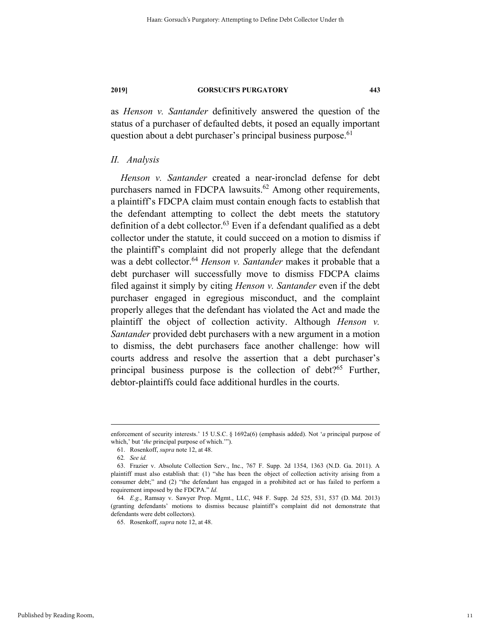as *Henson v. Santander* definitively answered the question of the status of a purchaser of defaulted debts, it posed an equally important question about a debt purchaser's principal business purpose.<sup>61</sup>

#### *II. Analysis*

*Henson v. Santander* created a near-ironclad defense for debt purchasers named in FDCPA lawsuits.<sup>62</sup> Among other requirements, a plaintiff's FDCPA claim must contain enough facts to establish that the defendant attempting to collect the debt meets the statutory definition of a debt collector. $^{63}$  Even if a defendant qualified as a debt collector under the statute, it could succeed on a motion to dismiss if the plaintiff's complaint did not properly allege that the defendant was a debt collector.<sup>64</sup> *Henson v. Santander* makes it probable that a debt purchaser will successfully move to dismiss FDCPA claims filed against it simply by citing *Henson v. Santander* even if the debt purchaser engaged in egregious misconduct, and the complaint properly alleges that the defendant has violated the Act and made the plaintiff the object of collection activity. Although *Henson v. Santander* provided debt purchasers with a new argument in a motion to dismiss, the debt purchasers face another challenge: how will courts address and resolve the assertion that a debt purchaser's principal business purpose is the collection of debt?<sup>65</sup> Further, debtor-plaintiffs could face additional hurdles in the courts.

enforcement of security interests.' 15 U.S.C. § 1692a(6) (emphasis added). Not '*a* principal purpose of which,' but '*the* principal purpose of which.'").

 <sup>61.</sup> Rosenkoff, *supra* note 12, at 48.

<sup>62</sup>*. See id.*

 <sup>63.</sup> Frazier v. Absolute Collection Serv., Inc., 767 F. Supp. 2d 1354, 1363 (N.D. Ga. 2011). A plaintiff must also establish that: (1) "she has been the object of collection activity arising from a consumer debt;" and (2) "the defendant has engaged in a prohibited act or has failed to perform a requirement imposed by the FDCPA." *Id.*

<sup>64</sup>*. E.g.*, Ramsay v. Sawyer Prop. Mgmt., LLC, 948 F. Supp. 2d 525, 531, 537 (D. Md. 2013) (granting defendants' motions to dismiss because plaintiff's complaint did not demonstrate that defendants were debt collectors).

 <sup>65.</sup> Rosenkoff, *supra* note 12, at 48.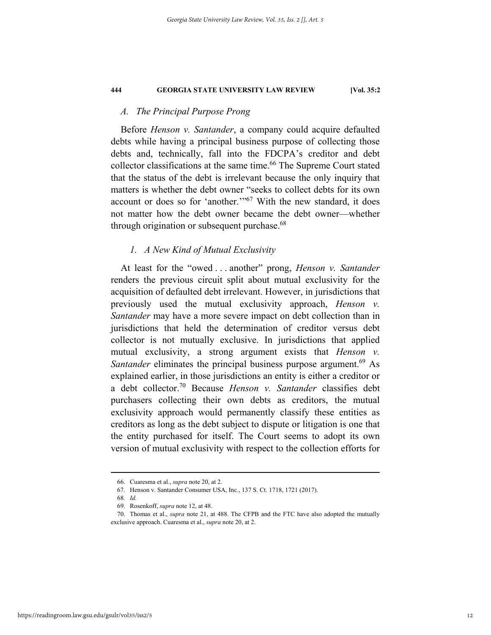#### *A. The Principal Purpose Prong*

Before *Henson v. Santander*, a company could acquire defaulted debts while having a principal business purpose of collecting those debts and, technically, fall into the FDCPA's creditor and debt collector classifications at the same time.<sup>66</sup> The Supreme Court stated that the status of the debt is irrelevant because the only inquiry that matters is whether the debt owner "seeks to collect debts for its own account or does so for 'another.'"67 With the new standard, it does not matter how the debt owner became the debt owner—whether through origination or subsequent purchase.<sup>68</sup>

#### *1. A New Kind of Mutual Exclusivity*

At least for the "owed . . . another" prong, *Henson v. Santander* renders the previous circuit split about mutual exclusivity for the acquisition of defaulted debt irrelevant. However, in jurisdictions that previously used the mutual exclusivity approach, *Henson v. Santander* may have a more severe impact on debt collection than in jurisdictions that held the determination of creditor versus debt collector is not mutually exclusive. In jurisdictions that applied mutual exclusivity, a strong argument exists that *Henson v. Santander* eliminates the principal business purpose argument.<sup>69</sup> As explained earlier, in those jurisdictions an entity is either a creditor or a debt collector.70 Because *Henson v. Santander* classifies debt purchasers collecting their own debts as creditors, the mutual exclusivity approach would permanently classify these entities as creditors as long as the debt subject to dispute or litigation is one that the entity purchased for itself. The Court seems to adopt its own version of mutual exclusivity with respect to the collection efforts for

 <sup>66.</sup> Cuaresma et al., *supra* note 20, at 2.

 <sup>67.</sup> Henson v. Santander Consumer USA, Inc., 137 S. Ct. 1718, 1721 (2017).

<sup>68</sup>*. Id.*

 <sup>69.</sup> Rosenkoff, *supra* note 12, at 48.

 <sup>70.</sup> Thomas et al., *supra* note 21, at 488. The CFPB and the FTC have also adopted the mutually exclusive approach. Cuaresma et al., *supra* note 20, at 2.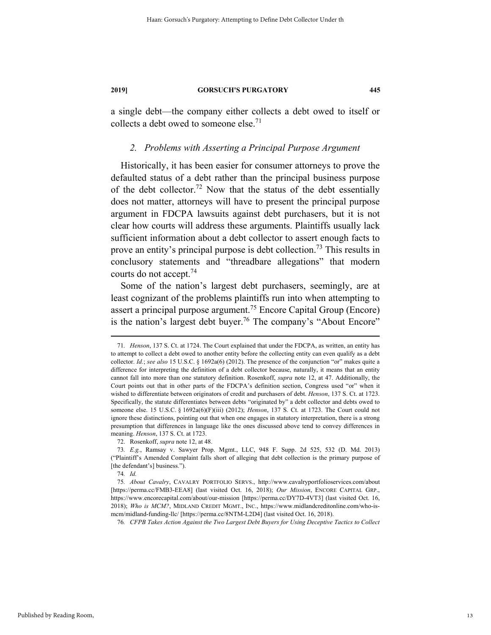a single debt—the company either collects a debt owed to itself or collects a debt owed to someone else.<sup>71</sup>

#### *2. Problems with Asserting a Principal Purpose Argument*

Historically, it has been easier for consumer attorneys to prove the defaulted status of a debt rather than the principal business purpose of the debt collector.<sup>72</sup> Now that the status of the debt essentially does not matter, attorneys will have to present the principal purpose argument in FDCPA lawsuits against debt purchasers, but it is not clear how courts will address these arguments. Plaintiffs usually lack sufficient information about a debt collector to assert enough facts to prove an entity's principal purpose is debt collection.<sup>73</sup> This results in conclusory statements and "threadbare allegations" that modern courts do not accept.74

Some of the nation's largest debt purchasers, seemingly, are at least cognizant of the problems plaintiffs run into when attempting to assert a principal purpose argument.<sup>75</sup> Encore Capital Group (Encore) is the nation's largest debt buyer.<sup>76</sup> The company's "About Encore"

76*. CFPB Takes Action Against the Two Largest Debt Buyers for Using Deceptive Tactics to Collect* 

 <sup>71</sup>*. Henson*, 137 S. Ct. at 1724. The Court explained that under the FDCPA, as written, an entity has to attempt to collect a debt owed to another entity before the collecting entity can even qualify as a debt collector. *Id.*; *see also* 15 U.S.C. § 1692a(6) (2012). The presence of the conjunction "or" makes quite a difference for interpreting the definition of a debt collector because, naturally, it means that an entity cannot fall into more than one statutory definition. Rosenkoff, *supra* note 12, at 47. Additionally, the Court points out that in other parts of the FDCPA's definition section, Congress used "or" when it wished to differentiate between originators of credit and purchasers of debt. *Henson*, 137 S. Ct. at 1723. Specifically, the statute differentiates between debts "originated by" a debt collector and debts owed to someone else. 15 U.S.C. § 1692a(6)(F)(iii) (2012); *Henson*, 137 S. Ct. at 1723. The Court could not ignore these distinctions, pointing out that when one engages in statutory interpretation, there is a strong presumption that differences in language like the ones discussed above tend to convey differences in meaning. *Henson*, 137 S. Ct. at 1723.

 <sup>72.</sup> Rosenkoff, *supra* note 12, at 48.

<sup>73</sup>*. E.g.*, Ramsay v. Sawyer Prop. Mgmt., LLC, 948 F. Supp. 2d 525, 532 (D. Md. 2013) ("Plaintiff's Amended Complaint falls short of alleging that debt collection is the primary purpose of [the defendant's] business.").

<sup>74</sup>*. Id.*

<sup>75</sup>*. About Cavalry*, CAVALRY PORTFOLIO SERVS., http://www.cavalryportfolioservices.com/about [https://perma.cc/FMB3-EEA8] (last visited Oct. 16, 2018); *Our Mission*, ENCORE CAPITAL GRP., https://www.encorecapital.com/about/our-mission [https://perma.cc/DY7D-4VT3] (last visited Oct. 16, 2018); *Who is MCM?*, MIDLAND CREDIT MGMT., INC., https://www.midlandcreditonline.com/who-ismcm/midland-funding-llc/ [https://perma.cc/8NTM-L2D4] (last visited Oct. 16, 2018).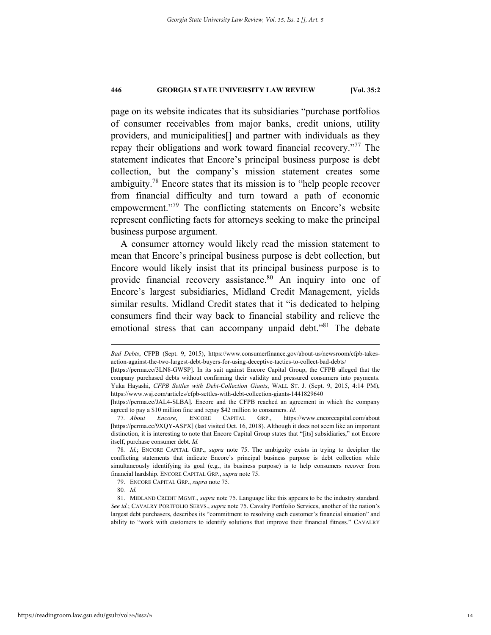page on its website indicates that its subsidiaries "purchase portfolios of consumer receivables from major banks, credit unions, utility providers, and municipalities[] and partner with individuals as they repay their obligations and work toward financial recovery."77 The statement indicates that Encore's principal business purpose is debt collection, but the company's mission statement creates some ambiguity.<sup>78</sup> Encore states that its mission is to "help people recover from financial difficulty and turn toward a path of economic empowerment."<sup>79</sup> The conflicting statements on Encore's website represent conflicting facts for attorneys seeking to make the principal business purpose argument.

A consumer attorney would likely read the mission statement to mean that Encore's principal business purpose is debt collection, but Encore would likely insist that its principal business purpose is to provide financial recovery assistance.<sup>80</sup> An inquiry into one of Encore's largest subsidiaries, Midland Credit Management, yields similar results. Midland Credit states that it "is dedicated to helping consumers find their way back to financial stability and relieve the emotional stress that can accompany unpaid debt."<sup>81</sup> The debate

1

*Bad Debts*, CFPB (Sept. 9, 2015), https://www.consumerfinance.gov/about-us/newsroom/cfpb-takesaction-against-the-two-largest-debt-buyers-for-using-deceptive-tactics-to-collect-bad-debts/

<sup>[</sup>https://perma.cc/3LN8-GWSP]. In its suit against Encore Capital Group, the CFPB alleged that the company purchased debts without confirming their validity and pressured consumers into payments. Yuka Hayashi, *CFPB Settles with Debt-Collection Giants*, WALL ST. J. (Sept. 9, 2015, 4:14 PM), https://www.wsj.com/articles/cfpb-settles-with-debt-collection-giants-1441829640

<sup>[</sup>https://perma.cc/JAL4-SLBA]. Encore and the CFPB reached an agreement in which the company agreed to pay a \$10 million fine and repay \$42 million to consumers. *Id.*

<sup>77</sup>*. About Encore*, ENCORE CAPITAL GRP., https://www.encorecapital.com/about [https://perma.cc/9XQY-ASPX] (last visited Oct. 16, 2018). Although it does not seem like an important distinction, it is interesting to note that Encore Capital Group states that "[its] subsidiaries," not Encore itself, purchase consumer debt. *Id.*

<sup>78</sup>*. Id.*; ENCORE CAPITAL GRP., *supra* note 75. The ambiguity exists in trying to decipher the conflicting statements that indicate Encore's principal business purpose is debt collection while simultaneously identifying its goal (e.g., its business purpose) is to help consumers recover from financial hardship. ENCORE CAPITAL GRP., *supra* note 75.

 <sup>79.</sup> ENCORE CAPITAL GRP., *supra* note 75.

<sup>80</sup>*. Id.*

 <sup>81.</sup> MIDLAND CREDIT MGMT., *supra* note 75. Language like this appears to be the industry standard. *See id.*; CAVALRY PORTFOLIO SERVS., *supra* note 75. Cavalry Portfolio Services, another of the nation's largest debt purchasers, describes its "commitment to resolving each customer's financial situation" and ability to "work with customers to identify solutions that improve their financial fitness." CAVALRY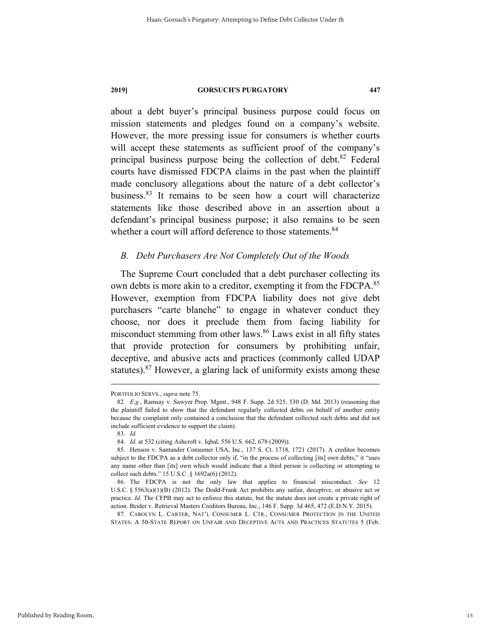about a debt buyer's principal business purpose could focus on mission statements and pledges found on a company's website. However, the more pressing issue for consumers is whether courts will accept these statements as sufficient proof of the company's principal business purpose being the collection of debt. $82$  Federal courts have dismissed FDCPA claims in the past when the plaintiff made conclusory allegations about the nature of a debt collector's business.83 It remains to be seen how a court will characterize statements like those described above in an assertion about a defendant's principal business purpose; it also remains to be seen whether a court will afford deference to those statements.<sup>84</sup>

#### *B. Debt Purchasers Are Not Completely Out of the Woods*

The Supreme Court concluded that a debt purchaser collecting its own debts is more akin to a creditor, exempting it from the FDCPA.<sup>85</sup> However, exemption from FDCPA liability does not give debt purchasers "carte blanche" to engage in whatever conduct they choose, nor does it preclude them from facing liability for misconduct stemming from other laws.86 Laws exist in all fifty states that provide protection for consumers by prohibiting unfair, deceptive, and abusive acts and practices (commonly called UDAP statutes). $87$  However, a glaring lack of uniformity exists among these

 87. CAROLYN L. CARTER, NAT'L CONSUMER L. CTR., CONSUMER PROTECTION IN THE UNITED STATES: A 50-STATE REPORT ON UNFAIR AND DECEPTIVE ACTS AND PRACTICES STATUTES 5 (Feb.

Published by Reading Room,

PORTFOLIO SERVS., *supra* note 75.

<sup>82</sup>*. E.g.*, Ramsay v. Sawyer Prop. Mgmt., 948 F. Supp. 2d 525, 530 (D. Md. 2013) (reasoning that the plaintiff failed to show that the defendant regularly collected debts on behalf of another entity because the complaint only contained a conclusion that the defendant collected such debts and did not include sufficient evidence to support the claim).

<sup>83</sup>*. Id.* 

<sup>84</sup>*. Id.* at 532 (citing Ashcroft v. Iqbal, 556 U.S. 662, 678 (2009)).

 <sup>85.</sup> Henson v. Santander Consumer USA, Inc., 137 S. Ct. 1718, 1721 (2017). A creditor becomes subject to the FDCPA as a debt collector only if, "in the process of collecting [its] own debts," it "uses any name other than [its] own which would indicate that a third person is collecting or attempting to collect such debts." 15 U.S.C. § 1692a(6) (2012).

 <sup>86.</sup> The FDCPA is not the only law that applies to financial misconduct. *See* 12 U.S.C. § 5563(a)(1)(B) (2012). The Dodd-Frank Act prohibits any unfair, deceptive, or abusive act or practice. *Id.* The CFPB may act to enforce this statute, but the statute does not create a private right of action. Beider v. Retrieval Masters Creditors Bureau, Inc., 146 F. Supp. 3d 465, 472 (E.D.N.Y. 2015).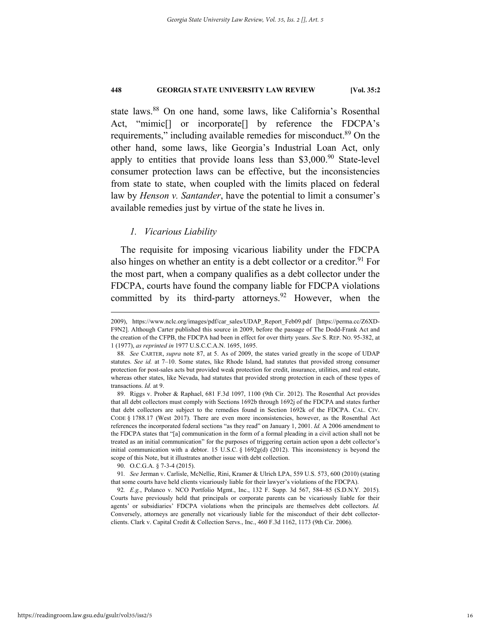state laws.88 On one hand, some laws, like California's Rosenthal Act, "mimic<sup>[]</sup> or incorporate<sup>[]</sup> by reference the FDCPA's requirements," including available remedies for misconduct.<sup>89</sup> On the other hand, some laws, like Georgia's Industrial Loan Act, only apply to entities that provide loans less than  $$3,000<sup>90</sup>$  State-level consumer protection laws can be effective, but the inconsistencies from state to state, when coupled with the limits placed on federal law by *Henson v. Santander*, have the potential to limit a consumer's available remedies just by virtue of the state he lives in.

#### *1. Vicarious Liability*

The requisite for imposing vicarious liability under the FDCPA also hinges on whether an entity is a debt collector or a creditor.<sup>91</sup> For the most part, when a company qualifies as a debt collector under the FDCPA, courts have found the company liable for FDCPA violations committed by its third-party attorneys. <sup>92</sup> However, when the

90. O.C.G.A. § 7-3-4 (2015).

91*. See* Jerman v. Carlisle, McNellie, Rini, Kramer & Ulrich LPA, 559 U.S. 573, 600 (2010) (stating that some courts have held clients vicariously liable for their lawyer's violations of the FDCPA).

92*. E.g.*, Polanco v. NCO Portfolio Mgmt., Inc., 132 F. Supp. 3d 567, 584–85 (S.D.N.Y. 2015). Courts have previously held that principals or corporate parents can be vicariously liable for their agents' or subsidiaries' FDCPA violations when the principals are themselves debt collectors. *Id.*  Conversely, attorneys are generally not vicariously liable for the misconduct of their debt collectorclients. Clark v. Capital Credit & Collection Servs., Inc., 460 F.3d 1162, 1173 (9th Cir. 2006).

 <sup>2009),</sup> https://www.nclc.org/images/pdf/car\_sales/UDAP\_Report\_Feb09.pdf [https://perma.cc/Z6XD-F9N2]. Although Carter published this source in 2009, before the passage of The Dodd-Frank Act and the creation of the CFPB, the FDCPA had been in effect for over thirty years. *See* S. REP. NO. 95-382, at 1 (1977), *as reprinted in* 1977 U.S.C.C.A.N. 1695, 1695.

<sup>88</sup>*. See* CARTER, *supra* note 87, at 5. As of 2009, the states varied greatly in the scope of UDAP statutes. *See id.* at 7–10. Some states, like Rhode Island, had statutes that provided strong consumer protection for post-sales acts but provided weak protection for credit, insurance, utilities, and real estate, whereas other states, like Nevada, had statutes that provided strong protection in each of these types of transactions. *Id.* at 9.

 <sup>89.</sup> Riggs v. Prober & Raphael, 681 F.3d 1097, 1100 (9th Cir. 2012). The Rosenthal Act provides that all debt collectors must comply with Sections 1692b through 1692j of the FDCPA and states further that debt collectors are subject to the remedies found in Section 1692k of the FDCPA. CAL. CIV. CODE § 1788.17 (West 2017). There are even more inconsistencies, however, as the Rosenthal Act references the incorporated federal sections "as they read" on January 1, 2001. *Id.* A 2006 amendment to the FDCPA states that "[a] communication in the form of a formal pleading in a civil action shall not be treated as an initial communication" for the purposes of triggering certain action upon a debt collector's initial communication with a debtor. 15 U.S.C. § 1692g(d) (2012). This inconsistency is beyond the scope of this Note, but it illustrates another issue with debt collection.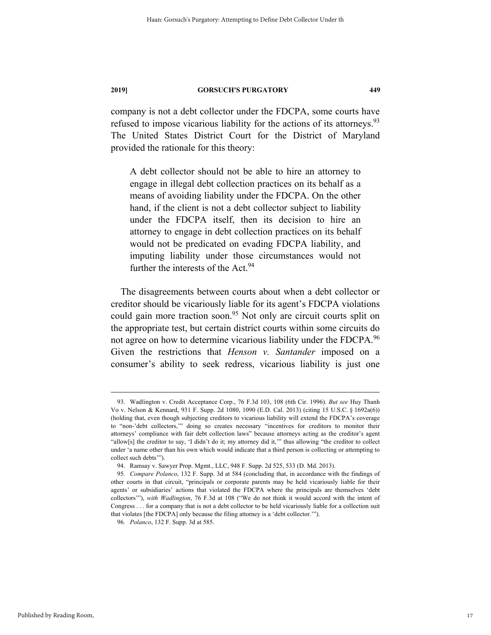company is not a debt collector under the FDCPA, some courts have refused to impose vicarious liability for the actions of its attorneys.<sup>93</sup> The United States District Court for the District of Maryland provided the rationale for this theory:

A debt collector should not be able to hire an attorney to engage in illegal debt collection practices on its behalf as a means of avoiding liability under the FDCPA. On the other hand, if the client is not a debt collector subject to liability under the FDCPA itself, then its decision to hire an attorney to engage in debt collection practices on its behalf would not be predicated on evading FDCPA liability, and imputing liability under those circumstances would not further the interests of the Act.<sup>94</sup>

The disagreements between courts about when a debt collector or creditor should be vicariously liable for its agent's FDCPA violations could gain more traction soon.<sup>95</sup> Not only are circuit courts split on the appropriate test, but certain district courts within some circuits do not agree on how to determine vicarious liability under the FDCPA.<sup>96</sup> Given the restrictions that *Henson v. Santander* imposed on a consumer's ability to seek redress, vicarious liability is just one

 <sup>93.</sup> Wadlington v. Credit Acceptance Corp., 76 F.3d 103, 108 (6th Cir. 1996). *But see* Huy Thanh Vo v. Nelson & Kennard, 931 F. Supp. 2d 1080, 1090 (E.D. Cal. 2013) (citing 15 U.S.C. § 1692a(6)) (holding that, even though subjecting creditors to vicarious liability will extend the FDCPA's coverage to "non-'debt collectors,'" doing so creates necessary "incentives for creditors to monitor their attorneys' compliance with fair debt collection laws" because attorneys acting as the creditor's agent "allow[s] the creditor to say, 'I didn't do it; my attorney did it,'" thus allowing "the creditor to collect under 'a name other than his own which would indicate that a third person is collecting or attempting to collect such debts'").

 <sup>94.</sup> Ramsay v. Sawyer Prop. Mgmt., LLC, 948 F. Supp. 2d 525, 533 (D. Md. 2013).

<sup>95</sup>*. Compare Polanco*, 132 F. Supp. 3d at 584 (concluding that, in accordance with the findings of other courts in that circuit, "principals or corporate parents may be held vicariously liable for their agents' or subsidiaries' actions that violated the FDCPA where the principals are themselves 'debt collectors'"), *with Wadlington*, 76 F.3d at 108 ("We do not think it would accord with the intent of Congress . . . for a company that is not a debt collector to be held vicariously liable for a collection suit that violates [the FDCPA] only because the filing attorney is a 'debt collector.'").

<sup>96</sup>*. Polanco*, 132 F. Supp. 3d at 585.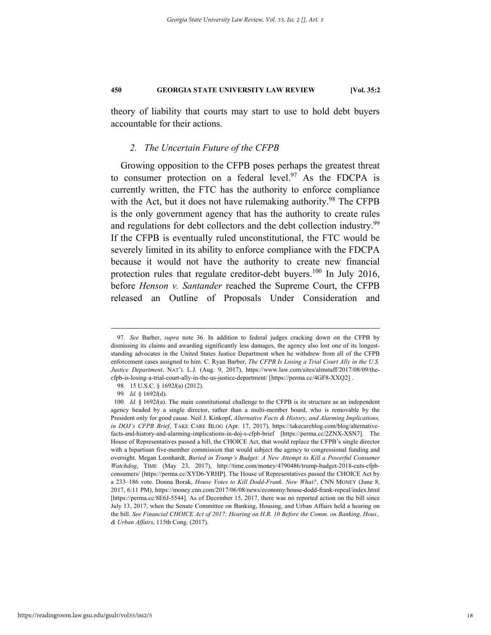theory of liability that courts may start to use to hold debt buyers accountable for their actions.

#### *2. The Uncertain Future of the CFPB*

Growing opposition to the CFPB poses perhaps the greatest threat to consumer protection on a federal level.<sup>97</sup> As the FDCPA is currently written, the FTC has the authority to enforce compliance with the Act, but it does not have rulemaking authority.<sup>98</sup> The CFPB is the only government agency that has the authority to create rules and regulations for debt collectors and the debt collection industry.<sup>99</sup> If the CFPB is eventually ruled unconstitutional, the FTC would be severely limited in its ability to enforce compliance with the FDCPA because it would not have the authority to create new financial protection rules that regulate creditor-debt buyers.<sup>100</sup> In July 2016, before *Henson v. Santander* reached the Supreme Court, the CFPB released an Outline of Proposals Under Consideration and

 <sup>97</sup>*. See* Barber, *supra* note 36. In addition to federal judges cracking down on the CFPB by dismissing its claims and awarding significantly less damages, the agency also lost one of its longeststanding advocates in the United States Justice Department when he withdrew from all of the CFPB enforcement cases assigned to him. C. Ryan Barber, *The CFPB Is Losing a Trial Court Ally in the U.S. Justice Department*, NAT'L L.J. (Aug. 9, 2017), https://www.law.com/sites/almstaff/2017/08/09/thecfpb-is-losing-a-trial-court-ally-in-the-us-justice-department/ [https://perma.cc/4GF8-XXQ2] .

 <sup>98. 15</sup> U.S.C. § 1692*l*(a) (2012).

<sup>99</sup>*. Id.* § 1692*l*(d).

<sup>100</sup>*. Id.* § 1692*l*(a). The main constitutional challenge to the CFPB is its structure as an independent agency headed by a single director, rather than a multi-member board, who is removable by the President only for good cause. Neil J. Kinkopf, *Alternative Facts & History, and Alarming Implications, in DOJ's CFPB Brief*, TAKE CARE BLOG (Apr. 17, 2017), https://takecareblog.com/blog/alternativefacts-and-history-and-alarming-implications-in-doj-s-cfpb-brief [https://perma.cc/2ZNX-XSN7]. The House of Representatives passed a bill, the CHOICE Act, that would replace the CFPB's single director with a bipartisan five-member commission that would subject the agency to congressional funding and oversight. Megan Leonhardt, *Buried in Trump's Budget: A New Attempt to Kill a Powerful Consumer Watchdog*, TIME (May 23, 2017), http://time.com/money/4790486/trump-budget-2018-cuts-cfpbconsumers/ [https://perma.cc/XYD6-YRHP]. The House of Representatives passed the CHOICE Act by a 233–186 vote. Donna Borak, *House Votes to Kill Dodd-Frank. Now What?*, CNN MONEY (June 8, 2017, 6:11 PM), https://money.cnn.com/2017/06/08/news/economy/house-dodd-frank-repeal/index.html [https://perma.cc/8E6J-5544]. As of December 15, 2017, there was no reported action on the bill since July 13, 2017, when the Senate Committee on Banking, Housing, and Urban Affairs held a hearing on the bill. *See Financial CHOICE Act of 2017: Hearing on H.R. 10 Before the Comm. on Banking, Hous., & Urban Affairs*, 115th Cong. (2017).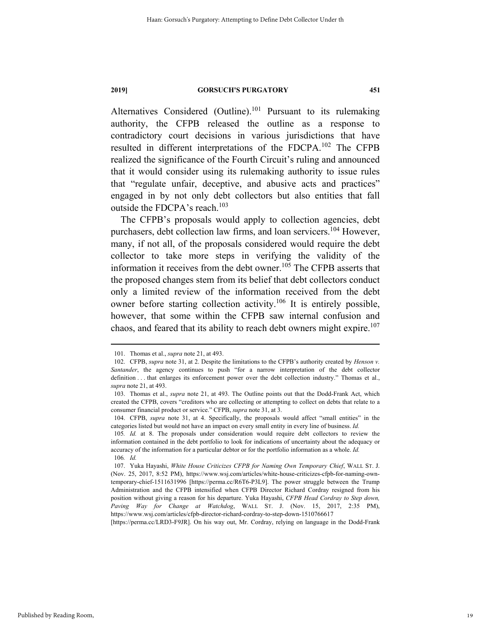Alternatives Considered (Outline).<sup>101</sup> Pursuant to its rulemaking authority, the CFPB released the outline as a response to contradictory court decisions in various jurisdictions that have resulted in different interpretations of the FDCPA.102 The CFPB realized the significance of the Fourth Circuit's ruling and announced that it would consider using its rulemaking authority to issue rules that "regulate unfair, deceptive, and abusive acts and practices" engaged in by not only debt collectors but also entities that fall outside the FDCPA's reach.<sup>103</sup>

The CFPB's proposals would apply to collection agencies, debt purchasers, debt collection law firms, and loan servicers.<sup>104</sup> However, many, if not all, of the proposals considered would require the debt collector to take more steps in verifying the validity of the information it receives from the debt owner.<sup>105</sup> The CFPB asserts that the proposed changes stem from its belief that debt collectors conduct only a limited review of the information received from the debt owner before starting collection activity.<sup>106</sup> It is entirely possible, however, that some within the CFPB saw internal confusion and chaos, and feared that its ability to reach debt owners might expire.<sup>107</sup>

[https://perma.cc/LRD3-F9JR]. On his way out, Mr. Cordray, relying on language in the Dodd-Frank

 <sup>101.</sup> Thomas et al., *supra* note 21, at 493.

 <sup>102.</sup> CFPB, *supra* note 31, at 2. Despite the limitations to the CFPB's authority created by *Henson v. Santander*, the agency continues to push "for a narrow interpretation of the debt collector definition . . . that enlarges its enforcement power over the debt collection industry." Thomas et al., *supra* note 21, at 493.

 <sup>103.</sup> Thomas et al., *supra* note 21, at 493. The Outline points out that the Dodd-Frank Act, which created the CFPB, covers "creditors who are collecting or attempting to collect on debts that relate to a consumer financial product or service." CFPB, *supra* note 31, at 3.

 <sup>104.</sup> CFPB, *supra* note 31, at 4. Specifically, the proposals would affect "small entities" in the categories listed but would not have an impact on every small entity in every line of business. *Id.*

<sup>105</sup>*. Id.* at 8. The proposals under consideration would require debt collectors to review the information contained in the debt portfolio to look for indications of uncertainty about the adequacy or accuracy of the information for a particular debtor or for the portfolio information as a whole. *Id.*  106*. Id.*

 <sup>107.</sup> Yuka Hayashi, *White House Criticizes CFPB for Naming Own Temporary Chief*, WALL ST. J. (Nov. 25, 2017, 8:52 PM), https://www.wsj.com/articles/white-house-criticizes-cfpb-for-naming-owntemporary-chief-1511631996 [https://perma.cc/R6T6-P3L9]. The power struggle between the Trump Administration and the CFPB intensified when CFPB Director Richard Cordray resigned from his position without giving a reason for his departure. Yuka Hayashi, *CFPB Head Cordray to Step down, Paving Way for Change at Watchdog*, WALL ST. J. (Nov. 15, 2017, 2:35 PM), https://www.wsj.com/articles/cfpb-director-richard-cordray-to-step-down-1510766617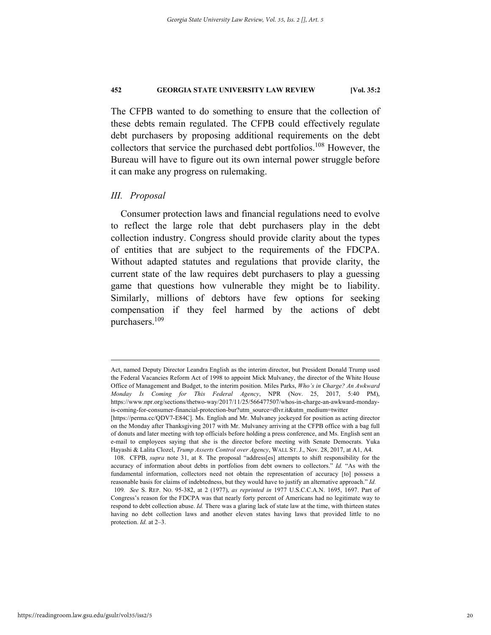The CFPB wanted to do something to ensure that the collection of these debts remain regulated. The CFPB could effectively regulate debt purchasers by proposing additional requirements on the debt collectors that service the purchased debt portfolios.<sup>108</sup> However, the Bureau will have to figure out its own internal power struggle before it can make any progress on rulemaking.

#### *III. Proposal*

Consumer protection laws and financial regulations need to evolve to reflect the large role that debt purchasers play in the debt collection industry. Congress should provide clarity about the types of entities that are subject to the requirements of the FDCPA. Without adapted statutes and regulations that provide clarity, the current state of the law requires debt purchasers to play a guessing game that questions how vulnerable they might be to liability. Similarly, millions of debtors have few options for seeking compensation if they feel harmed by the actions of debt purchasers.109

Act, named Deputy Director Leandra English as the interim director, but President Donald Trump used the Federal Vacancies Reform Act of 1998 to appoint Mick Mulvaney, the director of the White House Office of Management and Budget, to the interim position. Miles Parks, *Who's in Charge? An Awkward Monday Is Coming for This Federal Agency*, NPR (Nov. 25, 2017, 5:40 PM), https://www.npr.org/sections/thetwo-way/2017/11/25/566477507/whos-in-charge-an-awkward-mondayis-coming-for-consumer-financial-protection-bur?utm\_source=dlvr.it&utm\_medium=twitter

<sup>[</sup>https://perma.cc/QDV7-E84C]. Ms. English and Mr. Mulvaney jockeyed for position as acting director on the Monday after Thanksgiving 2017 with Mr. Mulvaney arriving at the CFPB office with a bag full of donuts and later meeting with top officials before holding a press conference, and Ms. English sent an e-mail to employees saying that she is the director before meeting with Senate Democrats. Yuka Hayashi & Lalita Clozel, *Trump Asserts Control over Agency*, WALL ST. J., Nov. 28, 2017, at A1, A4.

 <sup>108.</sup> CFPB, *supra* note 31, at 8. The proposal "address[es] attempts to shift responsibility for the accuracy of information about debts in portfolios from debt owners to collectors." *Id.* "As with the fundamental information, collectors need not obtain the representation of accuracy [to] possess a reasonable basis for claims of indebtedness, but they would have to justify an alternative approach." *Id.*

<sup>109</sup>*. See* S. REP. NO. 95-382, at 2 (1977), *as reprinted in* 1977 U.S.C.C.A.N. 1695, 1697. Part of Congress's reason for the FDCPA was that nearly forty percent of Americans had no legitimate way to respond to debt collection abuse. *Id.* There was a glaring lack of state law at the time, with thirteen states having no debt collection laws and another eleven states having laws that provided little to no protection. *Id.* at 2–3.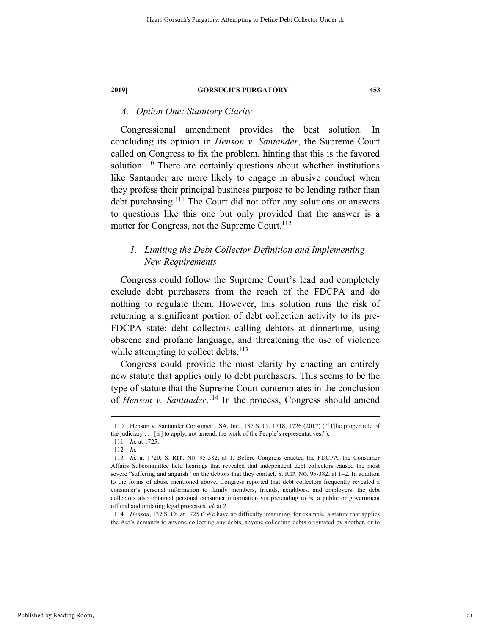#### *A. Option One: Statutory Clarity*

Congressional amendment provides the best solution. In concluding its opinion in *Henson v. Santander*, the Supreme Court called on Congress to fix the problem, hinting that this is the favored solution.<sup>110</sup> There are certainly questions about whether institutions like Santander are more likely to engage in abusive conduct when they profess their principal business purpose to be lending rather than debt purchasing.<sup>111</sup> The Court did not offer any solutions or answers to questions like this one but only provided that the answer is a matter for Congress, not the Supreme Court.<sup>112</sup>

### *1. Limiting the Debt Collector Definition and Implementing New Requirements*

Congress could follow the Supreme Court's lead and completely exclude debt purchasers from the reach of the FDCPA and do nothing to regulate them. However, this solution runs the risk of returning a significant portion of debt collection activity to its pre-FDCPA state: debt collectors calling debtors at dinnertime, using obscene and profane language, and threatening the use of violence while attempting to collect debts. $113$ 

Congress could provide the most clarity by enacting an entirely new statute that applies only to debt purchasers. This seems to be the type of statute that the Supreme Court contemplates in the conclusion of *Henson v. Santander*.<sup>114</sup> In the process, Congress should amend

 <sup>110.</sup> Henson v. Santander Consumer USA, Inc., 137 S. Ct. 1718, 1726 (2017) ("[T]he proper role of the judiciary . . . [is] to apply, not amend, the work of the People's representatives.").

<sup>111</sup>*. Id.* at 1725.

<sup>112</sup>*. Id.*

<sup>113</sup>*. Id.* at 1720; S. REP. NO. 95-382, at 1. Before Congress enacted the FDCPA, the Consumer Affairs Subcommittee held hearings that revealed that independent debt collectors caused the most severe "suffering and anguish" on the debtors that they contact. S. REP. No. 95-382, at 1–2. In addition to the forms of abuse mentioned above, Congress reported that debt collectors frequently revealed a consumer's personal information to family members, friends, neighbors, and employers; the debt collectors also obtained personal consumer information via pretending to be a public or government official and imitating legal processes. *Id.* at 2*.* 

<sup>114</sup>*. Henson*, 137 S. Ct. at 1725 ("We have no difficulty imagining, for example, a statute that applies the Act's demands to anyone collecting any debts, anyone collecting debts originated by another, or to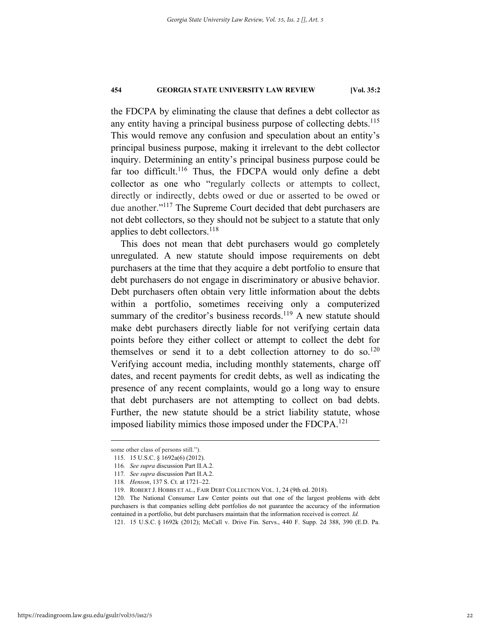the FDCPA by eliminating the clause that defines a debt collector as any entity having a principal business purpose of collecting debts.<sup>115</sup> This would remove any confusion and speculation about an entity's principal business purpose, making it irrelevant to the debt collector inquiry. Determining an entity's principal business purpose could be far too difficult.<sup>116</sup> Thus, the FDCPA would only define a debt collector as one who "regularly collects or attempts to collect, directly or indirectly, debts owed or due or asserted to be owed or due another."<sup>117</sup> The Supreme Court decided that debt purchasers are not debt collectors, so they should not be subject to a statute that only applies to debt collectors.<sup>118</sup>

This does not mean that debt purchasers would go completely unregulated. A new statute should impose requirements on debt purchasers at the time that they acquire a debt portfolio to ensure that debt purchasers do not engage in discriminatory or abusive behavior. Debt purchasers often obtain very little information about the debts within a portfolio, sometimes receiving only a computerized summary of the creditor's business records.<sup>119</sup> A new statute should make debt purchasers directly liable for not verifying certain data points before they either collect or attempt to collect the debt for themselves or send it to a debt collection attorney to do so.<sup>120</sup> Verifying account media, including monthly statements, charge off dates, and recent payments for credit debts, as well as indicating the presence of any recent complaints, would go a long way to ensure that debt purchasers are not attempting to collect on bad debts. Further, the new statute should be a strict liability statute, whose imposed liability mimics those imposed under the FDCPA.<sup>121</sup>

some other class of persons still.").

 <sup>115. 15</sup> U.S.C. § 1692a(6) (2012).

<sup>116</sup>*. See supra* discussion Part II.A.2.

<sup>117</sup>*. See supra* discussion Part II.A.2.

<sup>118</sup>*. Henson*, 137 S. Ct. at 1721–22.

 <sup>119.</sup> ROBERT J. HOBBS ET AL., FAIR DEBT COLLECTION VOL. 1, 24 (9th ed. 2018).

 <sup>120.</sup> The National Consumer Law Center points out that one of the largest problems with debt purchasers is that companies selling debt portfolios do not guarantee the accuracy of the information contained in a portfolio, but debt purchasers maintain that the information received is correct. *Id.*

 <sup>121. 15</sup> U.S.C. § 1692k (2012); McCall v. Drive Fin. Servs., 440 F. Supp. 2d 388, 390 (E.D. Pa.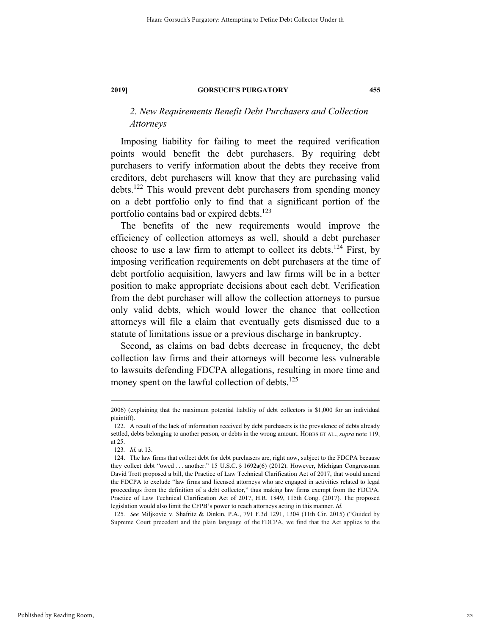### *2. New Requirements Benefit Debt Purchasers and Collection Attorneys*

Imposing liability for failing to meet the required verification points would benefit the debt purchasers. By requiring debt purchasers to verify information about the debts they receive from creditors, debt purchasers will know that they are purchasing valid debts.122 This would prevent debt purchasers from spending money on a debt portfolio only to find that a significant portion of the portfolio contains bad or expired debts. $123$ 

The benefits of the new requirements would improve the efficiency of collection attorneys as well, should a debt purchaser choose to use a law firm to attempt to collect its debts.<sup>124</sup> First, by imposing verification requirements on debt purchasers at the time of debt portfolio acquisition, lawyers and law firms will be in a better position to make appropriate decisions about each debt. Verification from the debt purchaser will allow the collection attorneys to pursue only valid debts, which would lower the chance that collection attorneys will file a claim that eventually gets dismissed due to a statute of limitations issue or a previous discharge in bankruptcy.

Second, as claims on bad debts decrease in frequency, the debt collection law firms and their attorneys will become less vulnerable to lawsuits defending FDCPA allegations, resulting in more time and money spent on the lawful collection of debts.<sup>125</sup>

125*. See* Miljkovic v. Shafritz & Dinkin, P.A., 791 F.3d 1291, 1304 (11th Cir. 2015) ("Guided by Supreme Court precedent and the plain language of the FDCPA, we find that the Act applies to the

 <sup>2006) (</sup>explaining that the maximum potential liability of debt collectors is \$1,000 for an individual plaintiff).

 <sup>122.</sup> A result of the lack of information received by debt purchasers is the prevalence of debts already settled, debts belonging to another person, or debts in the wrong amount. HOBBS ET AL., *supra* note 119, at 25.

<sup>123</sup>*. Id.* at 13.

 <sup>124.</sup> The law firms that collect debt for debt purchasers are, right now, subject to the FDCPA because they collect debt "owed . . . another." 15 U.S.C. § 1692a(6) (2012). However, Michigan Congressman David Trott proposed a bill, the Practice of Law Technical Clarification Act of 2017, that would amend the FDCPA to exclude "law firms and licensed attorneys who are engaged in activities related to legal proceedings from the definition of a debt collector," thus making law firms exempt from the FDCPA. Practice of Law Technical Clarification Act of 2017, H.R. 1849, 115th Cong. (2017). The proposed legislation would also limit the CFPB's power to reach attorneys acting in this manner. *Id.*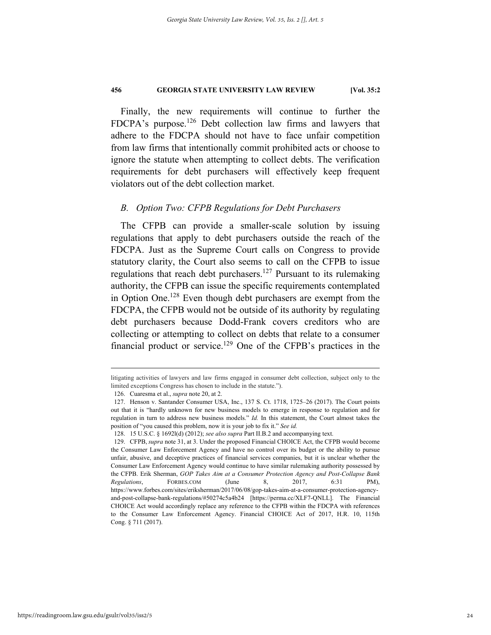Finally, the new requirements will continue to further the FDCPA's purpose.<sup>126</sup> Debt collection law firms and lawyers that adhere to the FDCPA should not have to face unfair competition from law firms that intentionally commit prohibited acts or choose to ignore the statute when attempting to collect debts. The verification requirements for debt purchasers will effectively keep frequent violators out of the debt collection market.

#### *B. Option Two: CFPB Regulations for Debt Purchasers*

The CFPB can provide a smaller-scale solution by issuing regulations that apply to debt purchasers outside the reach of the FDCPA. Just as the Supreme Court calls on Congress to provide statutory clarity, the Court also seems to call on the CFPB to issue regulations that reach debt purchasers.<sup>127</sup> Pursuant to its rulemaking authority, the CFPB can issue the specific requirements contemplated in Option One.<sup>128</sup> Even though debt purchasers are exempt from the FDCPA, the CFPB would not be outside of its authority by regulating debt purchasers because Dodd-Frank covers creditors who are collecting or attempting to collect on debts that relate to a consumer financial product or service.<sup>129</sup> One of the CFPB's practices in the

litigating activities of lawyers and law firms engaged in consumer debt collection, subject only to the limited exceptions Congress has chosen to include in the statute.").

 <sup>126.</sup> Cuaresma et al., *supra* note 20, at 2.

 <sup>127.</sup> Henson v. Santander Consumer USA, Inc., 137 S. Ct. 1718, 1725–26 (2017). The Court points out that it is "hardly unknown for new business models to emerge in response to regulation and for regulation in turn to address new business models." *Id.* In this statement, the Court almost takes the position of "you caused this problem, now it is your job to fix it." *See id.* 

 <sup>128. 15</sup> U.S.C. § 1692l(d) (2012); *see also supra* Part II.B.2 and accompanying text.

 <sup>129.</sup> CFPB, *supra* note 31, at 3. Under the proposed Financial CHOICE Act, the CFPB would become the Consumer Law Enforcement Agency and have no control over its budget or the ability to pursue unfair, abusive, and deceptive practices of financial services companies, but it is unclear whether the Consumer Law Enforcement Agency would continue to have similar rulemaking authority possessed by the CFPB. Erik Sherman, *GOP Takes Aim at a Consumer Protection Agency and Post-Collapse Bank Regulations*, FORBES.COM (June 8, 2017, 6:31 PM), https://www.forbes.com/sites/eriksherman/2017/06/08/gop-takes-aim-at-a-consumer-protection-agencyand-post-collapse-bank-regulations/#50274c5a4b24 [https://perma.cc/XLF7-QNLL]. The Financial CHOICE Act would accordingly replace any reference to the CFPB within the FDCPA with references to the Consumer Law Enforcement Agency. Financial CHOICE Act of 2017, H.R. 10, 115th Cong. § 711 (2017).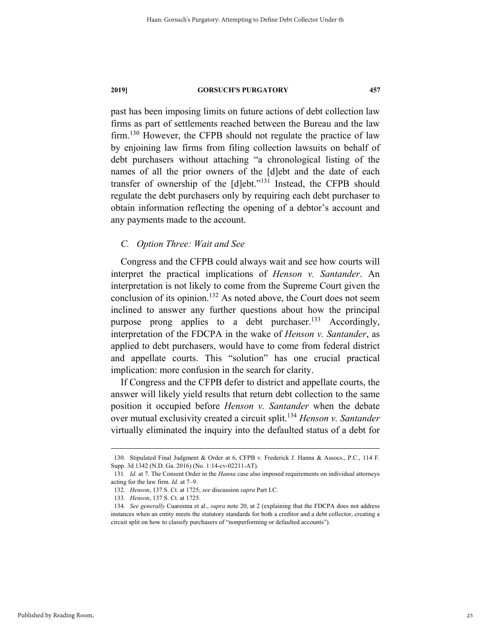past has been imposing limits on future actions of debt collection law firms as part of settlements reached between the Bureau and the law firm.<sup>130</sup> However, the CFPB should not regulate the practice of law by enjoining law firms from filing collection lawsuits on behalf of debt purchasers without attaching "a chronological listing of the names of all the prior owners of the [d]ebt and the date of each transfer of ownership of the [d]ebt."131 Instead, the CFPB should regulate the debt purchasers only by requiring each debt purchaser to obtain information reflecting the opening of a debtor's account and any payments made to the account.

#### *C. Option Three: Wait and See*

Congress and the CFPB could always wait and see how courts will interpret the practical implications of *Henson v. Santander*. An interpretation is not likely to come from the Supreme Court given the conclusion of its opinion.<sup>132</sup> As noted above, the Court does not seem inclined to answer any further questions about how the principal purpose prong applies to a debt purchaser.<sup>133</sup> Accordingly, interpretation of the FDCPA in the wake of *Henson v. Santander*, as applied to debt purchasers, would have to come from federal district and appellate courts. This "solution" has one crucial practical implication: more confusion in the search for clarity.

If Congress and the CFPB defer to district and appellate courts, the answer will likely yield results that return debt collection to the same position it occupied before *Henson v. Santander* when the debate over mutual exclusivity created a circuit split.134 *Henson v. Santander*  virtually eliminated the inquiry into the defaulted status of a debt for

 <sup>130.</sup> Stipulated Final Judgment & Order at 6, CFPB v. Frederick J. Hanna & Assocs., P.C., 114 F. Supp. 3d 1342 (N.D. Ga. 2016) (No. 1:14-cv-02211-AT).

<sup>131</sup>*. Id.* at 7. The Consent Order in the *Hanna* case also imposed requirements on individual attorneys acting for the law firm. *Id.* at 7–9.

<sup>132</sup>*. Henson*, 137 S. Ct. at 1725; *see* discussion *supra* Part I.C.

<sup>133</sup>*. Henson*, 137 S. Ct. at 1725.

<sup>134</sup>*. See generally* Cuaresma et al., *supra* note 20, at 2 (explaining that the FDCPA does not address instances when an entity meets the statutory standards for both a creditor and a debt collector, creating a circuit split on how to classify purchasers of "nonperforming or defaulted accounts").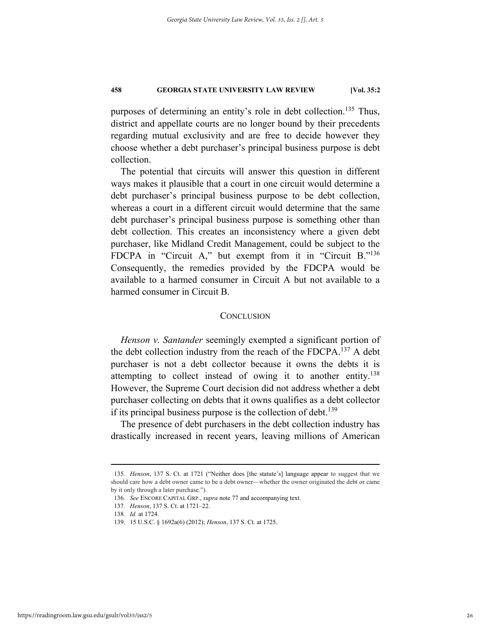purposes of determining an entity's role in debt collection.<sup>135</sup> Thus, district and appellate courts are no longer bound by their precedents regarding mutual exclusivity and are free to decide however they choose whether a debt purchaser's principal business purpose is debt collection.

The potential that circuits will answer this question in different ways makes it plausible that a court in one circuit would determine a debt purchaser's principal business purpose to be debt collection, whereas a court in a different circuit would determine that the same debt purchaser's principal business purpose is something other than debt collection. This creates an inconsistency where a given debt purchaser, like Midland Credit Management, could be subject to the FDCPA in "Circuit A," but exempt from it in "Circuit B."<sup>136</sup> Consequently, the remedies provided by the FDCPA would be available to a harmed consumer in Circuit A but not available to a harmed consumer in Circuit B.

#### **CONCLUSION**

*Henson v. Santander* seemingly exempted a significant portion of the debt collection industry from the reach of the FDCPA.137 A debt purchaser is not a debt collector because it owns the debts it is attempting to collect instead of owing it to another entity.<sup>138</sup> However, the Supreme Court decision did not address whether a debt purchaser collecting on debts that it owns qualifies as a debt collector if its principal business purpose is the collection of debt.<sup>139</sup>

The presence of debt purchasers in the debt collection industry has drastically increased in recent years, leaving millions of American

 <sup>135</sup>*. Henson*, 137 S. Ct. at 1721 ("Neither does [the statute's] language appear to suggest that we should care how a debt owner came to be a debt owner—whether the owner originated the debt or came by it only through a later purchase.").

<sup>136</sup>*. See* ENCORE CAPITAL GRP., *supra* note 77 and accompanying text.

<sup>137</sup>*. Henson*, 137 S. Ct. at 1721–22.

<sup>138</sup>*. Id.* at 1724.

 <sup>139. 15</sup> U.S.C. § 1692a(6) (2012); *Henson*, 137 S. Ct. at 1725.